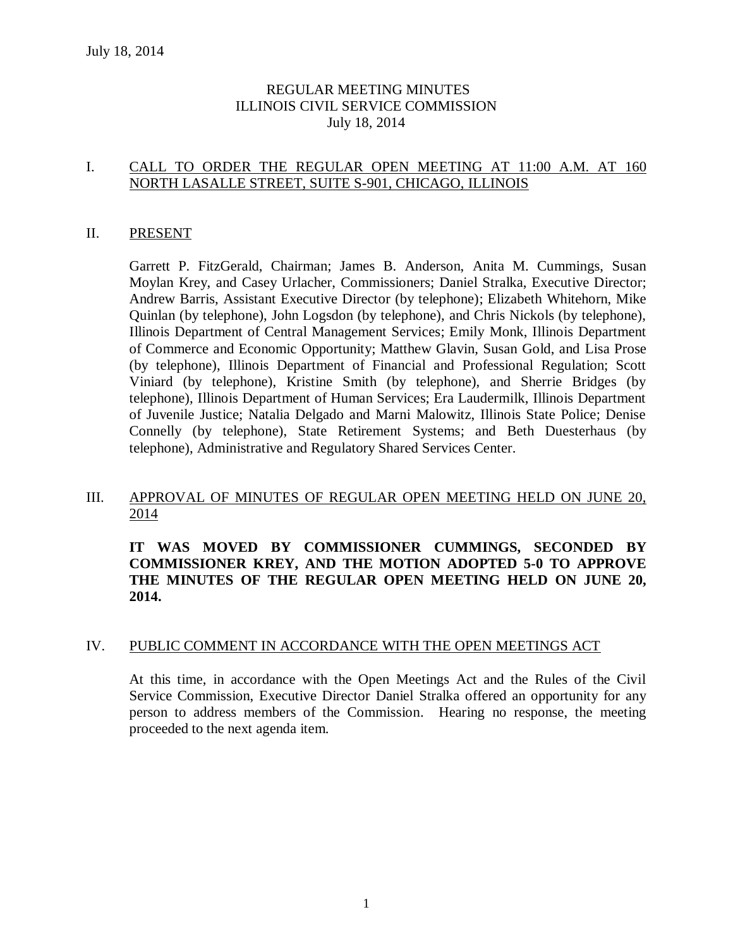# REGULAR MEETING MINUTES ILLINOIS CIVIL SERVICE COMMISSION July 18, 2014

### I. CALL TO ORDER THE REGULAR OPEN MEETING AT 11:00 A.M. AT 160 NORTH LASALLE STREET, SUITE S-901, CHICAGO, ILLINOIS

#### II. PRESENT

Garrett P. FitzGerald, Chairman; James B. Anderson, Anita M. Cummings, Susan Moylan Krey, and Casey Urlacher, Commissioners; Daniel Stralka, Executive Director; Andrew Barris, Assistant Executive Director (by telephone); Elizabeth Whitehorn, Mike Quinlan (by telephone), John Logsdon (by telephone), and Chris Nickols (by telephone), Illinois Department of Central Management Services; Emily Monk, Illinois Department of Commerce and Economic Opportunity; Matthew Glavin, Susan Gold, and Lisa Prose (by telephone), Illinois Department of Financial and Professional Regulation; Scott Viniard (by telephone), Kristine Smith (by telephone), and Sherrie Bridges (by telephone), Illinois Department of Human Services; Era Laudermilk, Illinois Department of Juvenile Justice; Natalia Delgado and Marni Malowitz, Illinois State Police; Denise Connelly (by telephone), State Retirement Systems; and Beth Duesterhaus (by telephone), Administrative and Regulatory Shared Services Center.

### III. APPROVAL OF MINUTES OF REGULAR OPEN MEETING HELD ON JUNE 20, 2014

**IT WAS MOVED BY COMMISSIONER CUMMINGS, SECONDED BY COMMISSIONER KREY, AND THE MOTION ADOPTED 5-0 TO APPROVE THE MINUTES OF THE REGULAR OPEN MEETING HELD ON JUNE 20, 2014.** 

### IV. PUBLIC COMMENT IN ACCORDANCE WITH THE OPEN MEETINGS ACT

At this time, in accordance with the Open Meetings Act and the Rules of the Civil Service Commission, Executive Director Daniel Stralka offered an opportunity for any person to address members of the Commission. Hearing no response, the meeting proceeded to the next agenda item.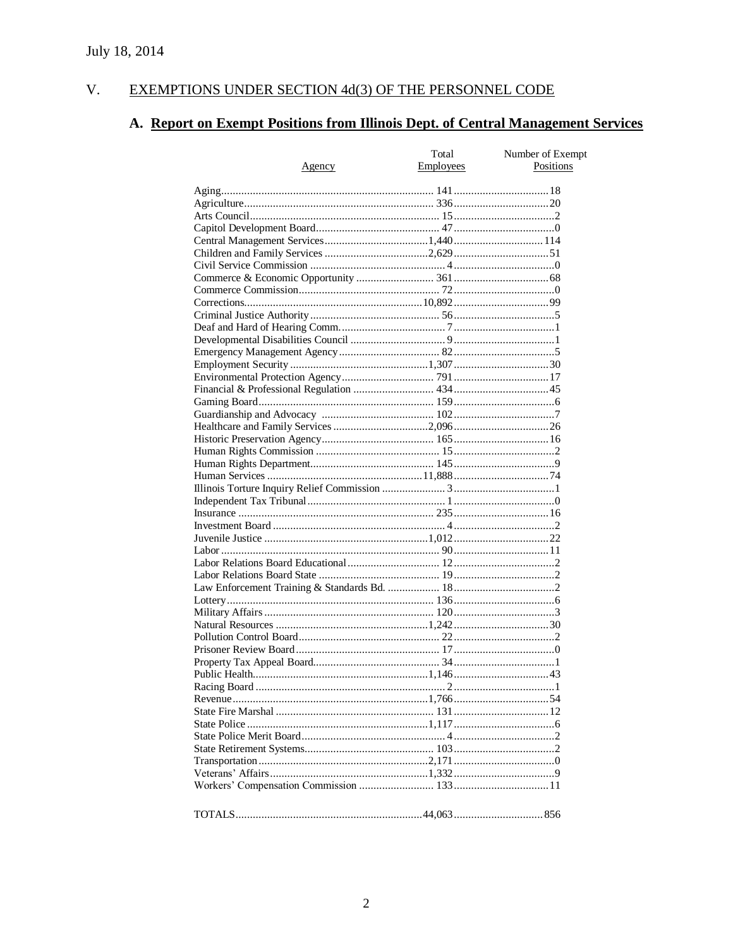#### $V<sub>r</sub>$ EXEMPTIONS UNDER SECTION 4d(3) OF THE PERSONNEL CODE

# A. Report on Exempt Positions from Illinois Dept. of Central Management Services

|        | Total     | Number of Exempt |
|--------|-----------|------------------|
| Agency | Employees | Positions        |
|        |           |                  |
|        |           |                  |
|        |           |                  |
|        |           |                  |
|        |           |                  |
|        |           |                  |
|        |           |                  |
|        |           |                  |
|        |           |                  |
|        |           |                  |
|        |           |                  |
|        |           |                  |
|        |           |                  |
|        |           |                  |
|        |           |                  |
|        |           |                  |
|        |           |                  |
|        |           |                  |
|        |           |                  |
|        |           |                  |
|        |           |                  |
|        |           |                  |
|        |           |                  |
|        |           |                  |
|        |           |                  |
|        |           |                  |
|        |           |                  |
|        |           |                  |
|        |           |                  |
|        |           |                  |
|        |           |                  |
|        |           |                  |
|        |           |                  |
|        |           |                  |
|        |           |                  |
|        |           |                  |
|        |           |                  |
|        |           |                  |
|        |           |                  |
|        |           |                  |
|        |           |                  |
|        |           |                  |
|        |           |                  |
|        |           |                  |
|        |           |                  |
|        |           |                  |
|        |           |                  |
|        |           |                  |
|        |           |                  |
|        |           |                  |
|        |           |                  |
|        |           |                  |
|        |           |                  |
|        |           |                  |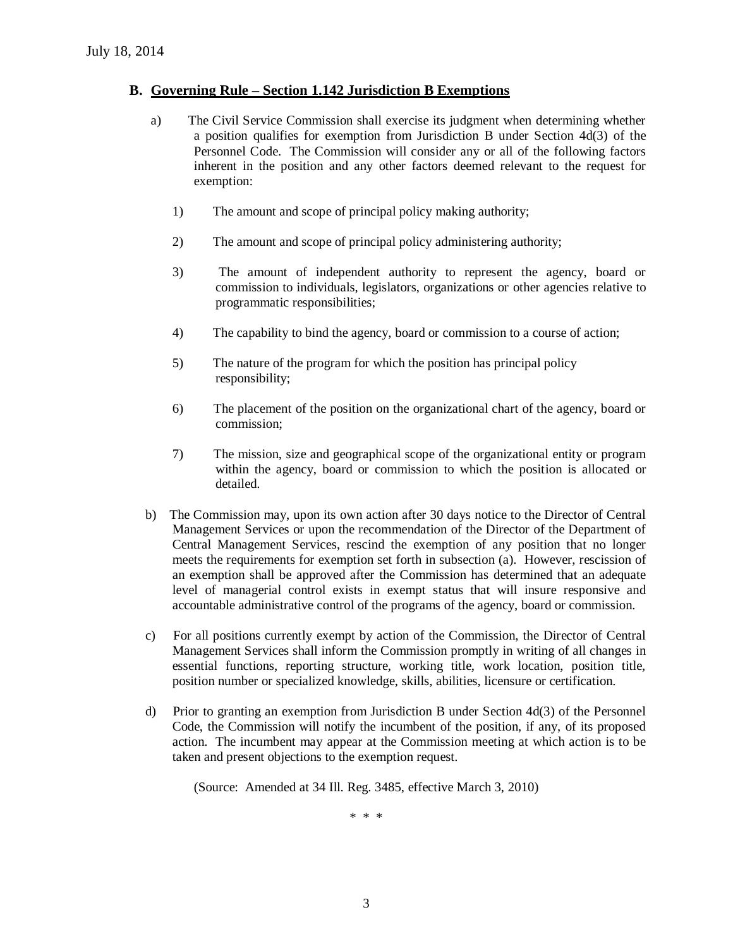### **B. Governing Rule – Section 1.142 Jurisdiction B Exemptions**

- a) The Civil Service Commission shall exercise its judgment when determining whether a position qualifies for exemption from Jurisdiction B under Section 4d(3) of the Personnel Code. The Commission will consider any or all of the following factors inherent in the position and any other factors deemed relevant to the request for exemption:
	- 1) The amount and scope of principal policy making authority;
	- 2) The amount and scope of principal policy administering authority;
	- 3) The amount of independent authority to represent the agency, board or commission to individuals, legislators, organizations or other agencies relative to programmatic responsibilities;
	- 4) The capability to bind the agency, board or commission to a course of action;
	- 5) The nature of the program for which the position has principal policy responsibility;
	- 6) The placement of the position on the organizational chart of the agency, board or commission;
	- 7) The mission, size and geographical scope of the organizational entity or program within the agency, board or commission to which the position is allocated or detailed.
- b) The Commission may, upon its own action after 30 days notice to the Director of Central Management Services or upon the recommendation of the Director of the Department of Central Management Services, rescind the exemption of any position that no longer meets the requirements for exemption set forth in subsection (a). However, rescission of an exemption shall be approved after the Commission has determined that an adequate level of managerial control exists in exempt status that will insure responsive and accountable administrative control of the programs of the agency, board or commission.
- c) For all positions currently exempt by action of the Commission, the Director of Central Management Services shall inform the Commission promptly in writing of all changes in essential functions, reporting structure, working title, work location, position title, position number or specialized knowledge, skills, abilities, licensure or certification.
- d) Prior to granting an exemption from Jurisdiction B under Section 4d(3) of the Personnel Code, the Commission will notify the incumbent of the position, if any, of its proposed action. The incumbent may appear at the Commission meeting at which action is to be taken and present objections to the exemption request.

(Source: Amended at 34 Ill. Reg. 3485, effective March 3, 2010)

\* \* \*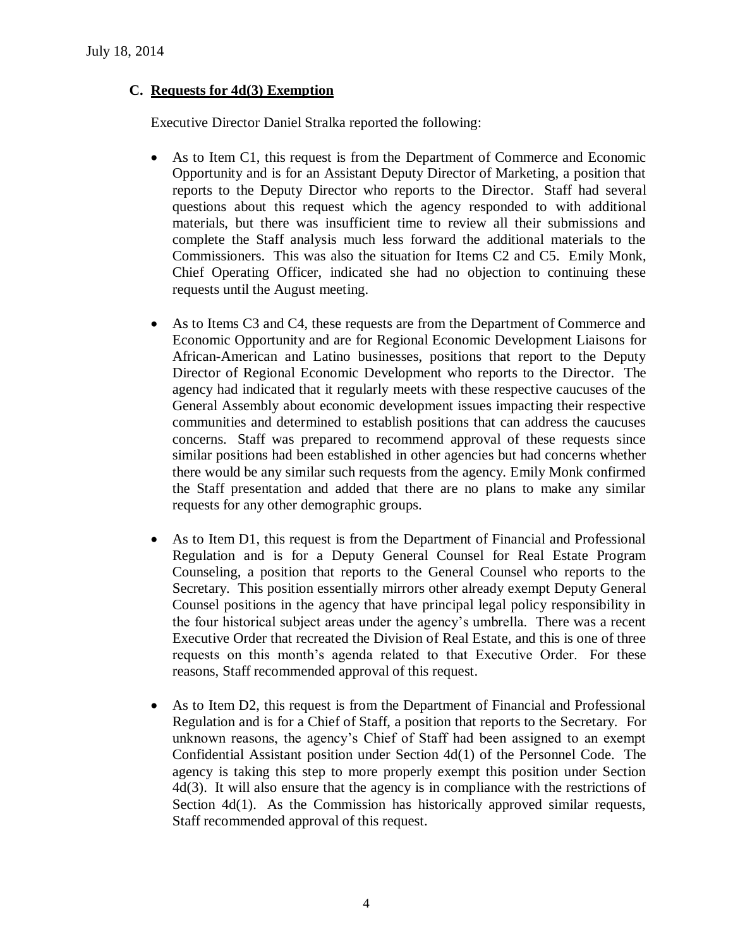# **C. Requests for 4d(3) Exemption**

Executive Director Daniel Stralka reported the following:

- As to Item C1, this request is from the Department of Commerce and Economic Opportunity and is for an Assistant Deputy Director of Marketing, a position that reports to the Deputy Director who reports to the Director. Staff had several questions about this request which the agency responded to with additional materials, but there was insufficient time to review all their submissions and complete the Staff analysis much less forward the additional materials to the Commissioners. This was also the situation for Items C2 and C5. Emily Monk, Chief Operating Officer, indicated she had no objection to continuing these requests until the August meeting.
- As to Items C3 and C4, these requests are from the Department of Commerce and Economic Opportunity and are for Regional Economic Development Liaisons for African-American and Latino businesses, positions that report to the Deputy Director of Regional Economic Development who reports to the Director. The agency had indicated that it regularly meets with these respective caucuses of the General Assembly about economic development issues impacting their respective communities and determined to establish positions that can address the caucuses concerns. Staff was prepared to recommend approval of these requests since similar positions had been established in other agencies but had concerns whether there would be any similar such requests from the agency. Emily Monk confirmed the Staff presentation and added that there are no plans to make any similar requests for any other demographic groups.
- As to Item D1, this request is from the Department of Financial and Professional Regulation and is for a Deputy General Counsel for Real Estate Program Counseling, a position that reports to the General Counsel who reports to the Secretary. This position essentially mirrors other already exempt Deputy General Counsel positions in the agency that have principal legal policy responsibility in the four historical subject areas under the agency's umbrella. There was a recent Executive Order that recreated the Division of Real Estate, and this is one of three requests on this month's agenda related to that Executive Order. For these reasons, Staff recommended approval of this request.
- As to Item D2, this request is from the Department of Financial and Professional Regulation and is for a Chief of Staff, a position that reports to the Secretary. For unknown reasons, the agency's Chief of Staff had been assigned to an exempt Confidential Assistant position under Section 4d(1) of the Personnel Code. The agency is taking this step to more properly exempt this position under Section 4d(3). It will also ensure that the agency is in compliance with the restrictions of Section 4d(1). As the Commission has historically approved similar requests, Staff recommended approval of this request.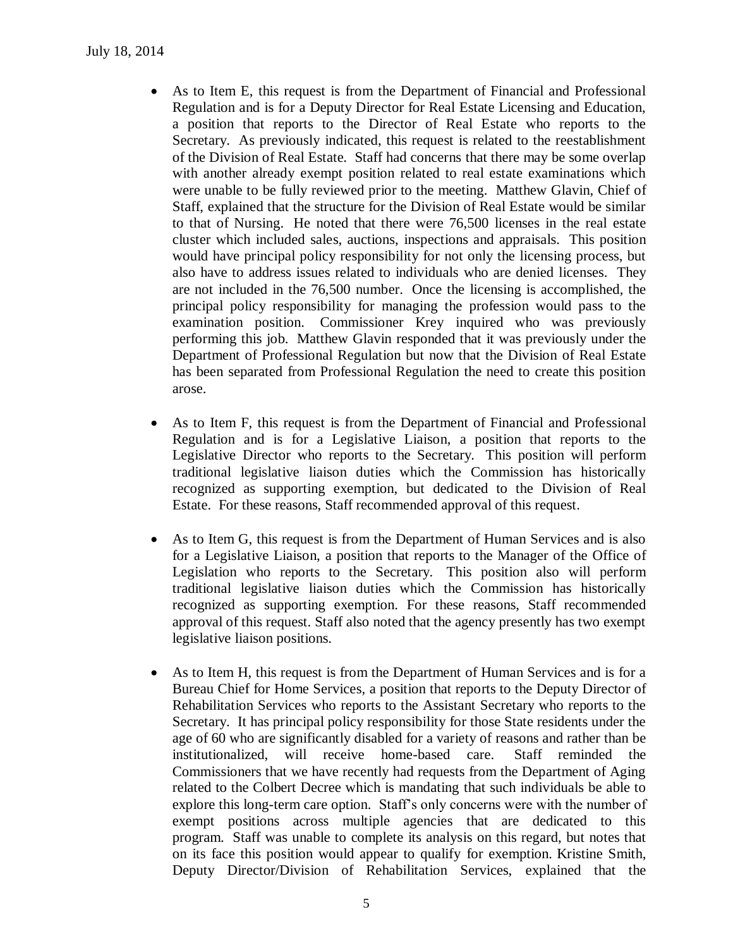- As to Item E, this request is from the Department of Financial and Professional Regulation and is for a Deputy Director for Real Estate Licensing and Education, a position that reports to the Director of Real Estate who reports to the Secretary. As previously indicated, this request is related to the reestablishment of the Division of Real Estate. Staff had concerns that there may be some overlap with another already exempt position related to real estate examinations which were unable to be fully reviewed prior to the meeting. Matthew Glavin, Chief of Staff, explained that the structure for the Division of Real Estate would be similar to that of Nursing. He noted that there were 76,500 licenses in the real estate cluster which included sales, auctions, inspections and appraisals. This position would have principal policy responsibility for not only the licensing process, but also have to address issues related to individuals who are denied licenses. They are not included in the 76,500 number. Once the licensing is accomplished, the principal policy responsibility for managing the profession would pass to the examination position. Commissioner Krey inquired who was previously performing this job. Matthew Glavin responded that it was previously under the Department of Professional Regulation but now that the Division of Real Estate has been separated from Professional Regulation the need to create this position arose.
- As to Item F, this request is from the Department of Financial and Professional Regulation and is for a Legislative Liaison, a position that reports to the Legislative Director who reports to the Secretary. This position will perform traditional legislative liaison duties which the Commission has historically recognized as supporting exemption, but dedicated to the Division of Real Estate. For these reasons, Staff recommended approval of this request.
- As to Item G, this request is from the Department of Human Services and is also for a Legislative Liaison, a position that reports to the Manager of the Office of Legislation who reports to the Secretary. This position also will perform traditional legislative liaison duties which the Commission has historically recognized as supporting exemption. For these reasons, Staff recommended approval of this request. Staff also noted that the agency presently has two exempt legislative liaison positions.
- As to Item H, this request is from the Department of Human Services and is for a Bureau Chief for Home Services, a position that reports to the Deputy Director of Rehabilitation Services who reports to the Assistant Secretary who reports to the Secretary. It has principal policy responsibility for those State residents under the age of 60 who are significantly disabled for a variety of reasons and rather than be institutionalized, will receive home-based care. Staff reminded the Commissioners that we have recently had requests from the Department of Aging related to the Colbert Decree which is mandating that such individuals be able to explore this long-term care option. Staff's only concerns were with the number of exempt positions across multiple agencies that are dedicated to this program. Staff was unable to complete its analysis on this regard, but notes that on its face this position would appear to qualify for exemption. Kristine Smith, Deputy Director/Division of Rehabilitation Services, explained that the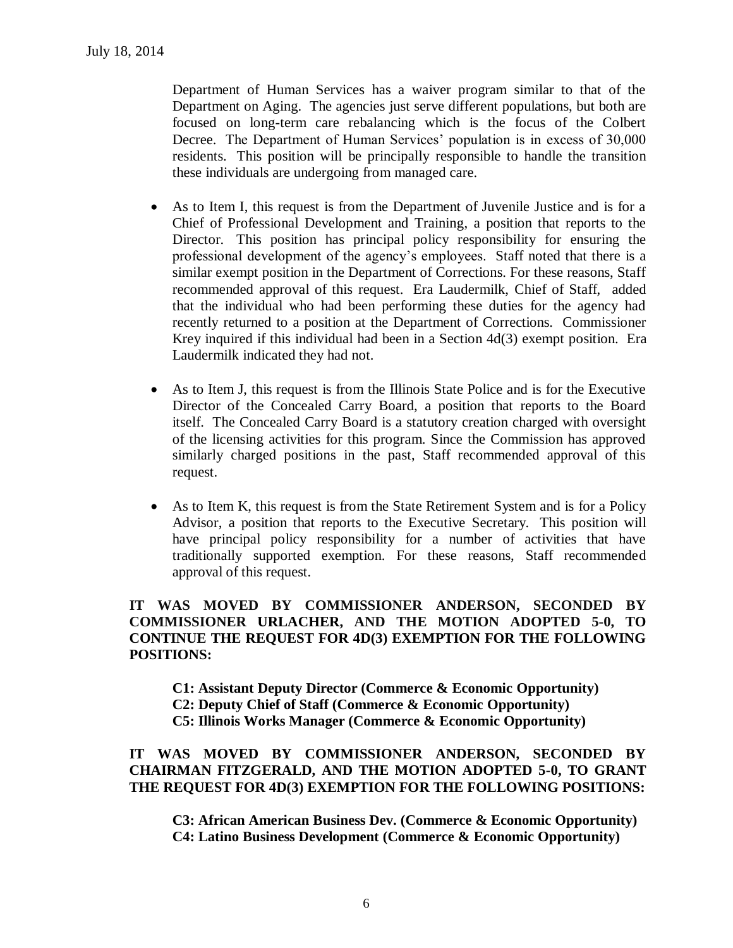Department of Human Services has a waiver program similar to that of the Department on Aging. The agencies just serve different populations, but both are focused on long-term care rebalancing which is the focus of the Colbert Decree. The Department of Human Services' population is in excess of 30,000 residents. This position will be principally responsible to handle the transition these individuals are undergoing from managed care.

- As to Item I, this request is from the Department of Juvenile Justice and is for a Chief of Professional Development and Training, a position that reports to the Director. This position has principal policy responsibility for ensuring the professional development of the agency's employees. Staff noted that there is a similar exempt position in the Department of Corrections. For these reasons, Staff recommended approval of this request. Era Laudermilk, Chief of Staff, added that the individual who had been performing these duties for the agency had recently returned to a position at the Department of Corrections. Commissioner Krey inquired if this individual had been in a Section 4d(3) exempt position. Era Laudermilk indicated they had not.
- As to Item J, this request is from the Illinois State Police and is for the Executive Director of the Concealed Carry Board, a position that reports to the Board itself. The Concealed Carry Board is a statutory creation charged with oversight of the licensing activities for this program. Since the Commission has approved similarly charged positions in the past, Staff recommended approval of this request.
- As to Item K, this request is from the State Retirement System and is for a Policy Advisor, a position that reports to the Executive Secretary. This position will have principal policy responsibility for a number of activities that have traditionally supported exemption. For these reasons, Staff recommended approval of this request.

**IT WAS MOVED BY COMMISSIONER ANDERSON, SECONDED BY COMMISSIONER URLACHER, AND THE MOTION ADOPTED 5-0, TO CONTINUE THE REQUEST FOR 4D(3) EXEMPTION FOR THE FOLLOWING POSITIONS:**

**C1: Assistant Deputy Director (Commerce & Economic Opportunity) C2: Deputy Chief of Staff (Commerce & Economic Opportunity) C5: Illinois Works Manager (Commerce & Economic Opportunity)**

**IT WAS MOVED BY COMMISSIONER ANDERSON, SECONDED BY CHAIRMAN FITZGERALD, AND THE MOTION ADOPTED 5-0, TO GRANT THE REQUEST FOR 4D(3) EXEMPTION FOR THE FOLLOWING POSITIONS:**

**C3: African American Business Dev. (Commerce & Economic Opportunity) C4: Latino Business Development (Commerce & Economic Opportunity)**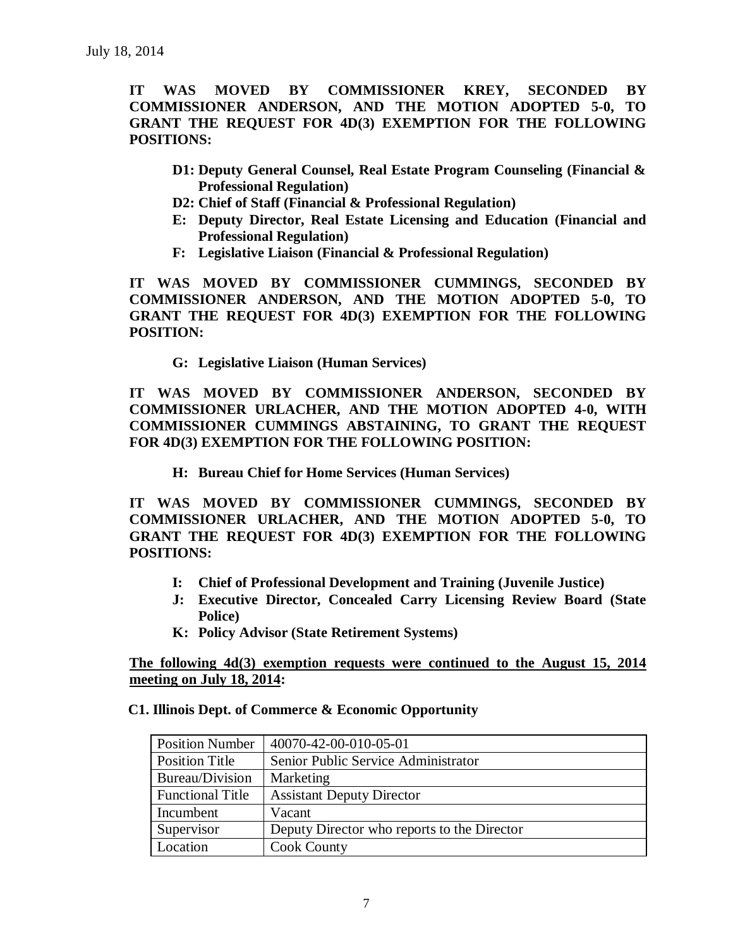**IT WAS MOVED BY COMMISSIONER KREY, SECONDED BY COMMISSIONER ANDERSON, AND THE MOTION ADOPTED 5-0, TO GRANT THE REQUEST FOR 4D(3) EXEMPTION FOR THE FOLLOWING POSITIONS:**

- **D1: Deputy General Counsel, Real Estate Program Counseling (Financial & Professional Regulation)**
- **D2: Chief of Staff (Financial & Professional Regulation)**
- **E: Deputy Director, Real Estate Licensing and Education (Financial and Professional Regulation)**
- **F: Legislative Liaison (Financial & Professional Regulation)**

**IT WAS MOVED BY COMMISSIONER CUMMINGS, SECONDED BY COMMISSIONER ANDERSON, AND THE MOTION ADOPTED 5-0, TO GRANT THE REQUEST FOR 4D(3) EXEMPTION FOR THE FOLLOWING POSITION:**

**G: Legislative Liaison (Human Services)**

**IT WAS MOVED BY COMMISSIONER ANDERSON, SECONDED BY COMMISSIONER URLACHER, AND THE MOTION ADOPTED 4-0, WITH COMMISSIONER CUMMINGS ABSTAINING, TO GRANT THE REQUEST FOR 4D(3) EXEMPTION FOR THE FOLLOWING POSITION:**

**H: Bureau Chief for Home Services (Human Services)**

**IT WAS MOVED BY COMMISSIONER CUMMINGS, SECONDED BY COMMISSIONER URLACHER, AND THE MOTION ADOPTED 5-0, TO GRANT THE REQUEST FOR 4D(3) EXEMPTION FOR THE FOLLOWING POSITIONS:**

- **I: Chief of Professional Development and Training (Juvenile Justice)**
- **J: Executive Director, Concealed Carry Licensing Review Board (State Police)**
- **K: Policy Advisor (State Retirement Systems)**

**The following 4d(3) exemption requests were continued to the August 15, 2014 meeting on July 18, 2014:**

### **C1. Illinois Dept. of Commerce & Economic Opportunity**

| <b>Position Number</b>  | 40070-42-00-010-05-01                       |
|-------------------------|---------------------------------------------|
| <b>Position Title</b>   | Senior Public Service Administrator         |
| Bureau/Division         | Marketing                                   |
| <b>Functional Title</b> | <b>Assistant Deputy Director</b>            |
| Incumbent               | Vacant                                      |
| Supervisor              | Deputy Director who reports to the Director |
| Location                | <b>Cook County</b>                          |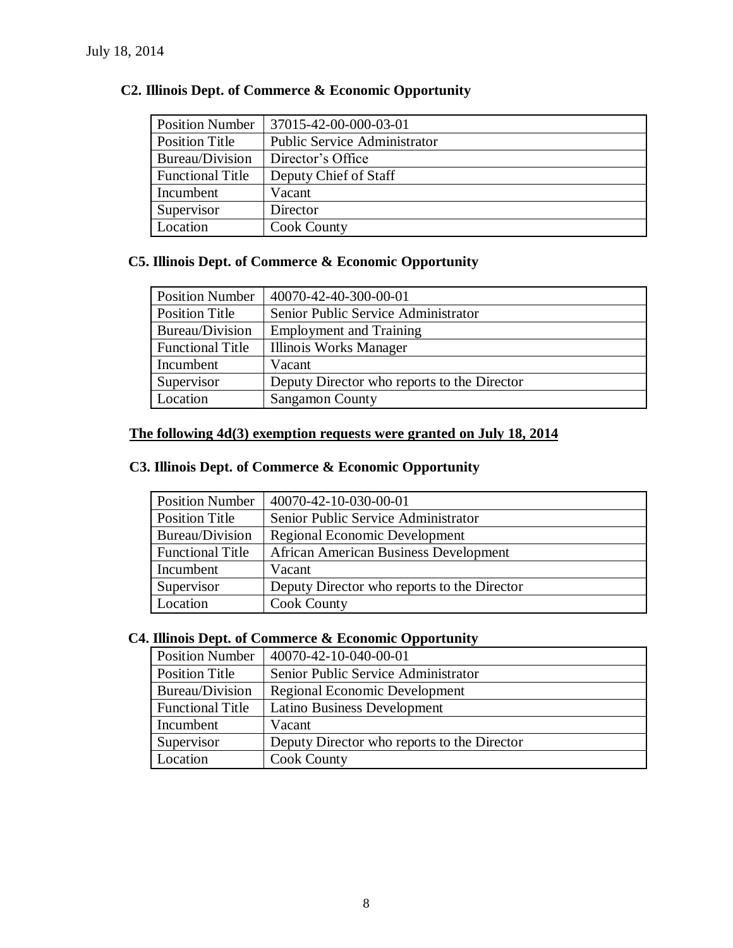| <b>Position Number</b>  | 37015-42-00-000-03-01               |
|-------------------------|-------------------------------------|
| Position Title          | <b>Public Service Administrator</b> |
| Bureau/Division         | Director's Office                   |
| <b>Functional Title</b> | Deputy Chief of Staff               |
| Incumbent               | Vacant                              |
| Supervisor              | Director                            |
| Location                | <b>Cook County</b>                  |

# **C2. Illinois Dept. of Commerce & Economic Opportunity**

# **C5. Illinois Dept. of Commerce & Economic Opportunity**

| <b>Position Number</b>  | 40070-42-40-300-00-01                       |
|-------------------------|---------------------------------------------|
| <b>Position Title</b>   | Senior Public Service Administrator         |
| Bureau/Division         | <b>Employment and Training</b>              |
| <b>Functional Title</b> | Illinois Works Manager                      |
| Incumbent               | Vacant                                      |
| Supervisor              | Deputy Director who reports to the Director |
| Location                | <b>Sangamon County</b>                      |

# **The following 4d(3) exemption requests were granted on July 18, 2014**

### **C3. Illinois Dept. of Commerce & Economic Opportunity**

| <b>Position Number</b>  | 40070-42-10-030-00-01                       |
|-------------------------|---------------------------------------------|
| Position Title          | Senior Public Service Administrator         |
| Bureau/Division         | <b>Regional Economic Development</b>        |
| <b>Functional Title</b> | African American Business Development       |
| Incumbent               | Vacant                                      |
| Supervisor              | Deputy Director who reports to the Director |
| Location                | <b>Cook County</b>                          |

# **C4. Illinois Dept. of Commerce & Economic Opportunity**

| <b>Position Number</b>  | 40070-42-10-040-00-01                       |
|-------------------------|---------------------------------------------|
| Position Title          | Senior Public Service Administrator         |
| Bureau/Division         | <b>Regional Economic Development</b>        |
| <b>Functional Title</b> | Latino Business Development                 |
| Incumbent               | Vacant                                      |
| Supervisor              | Deputy Director who reports to the Director |
| Location                | <b>Cook County</b>                          |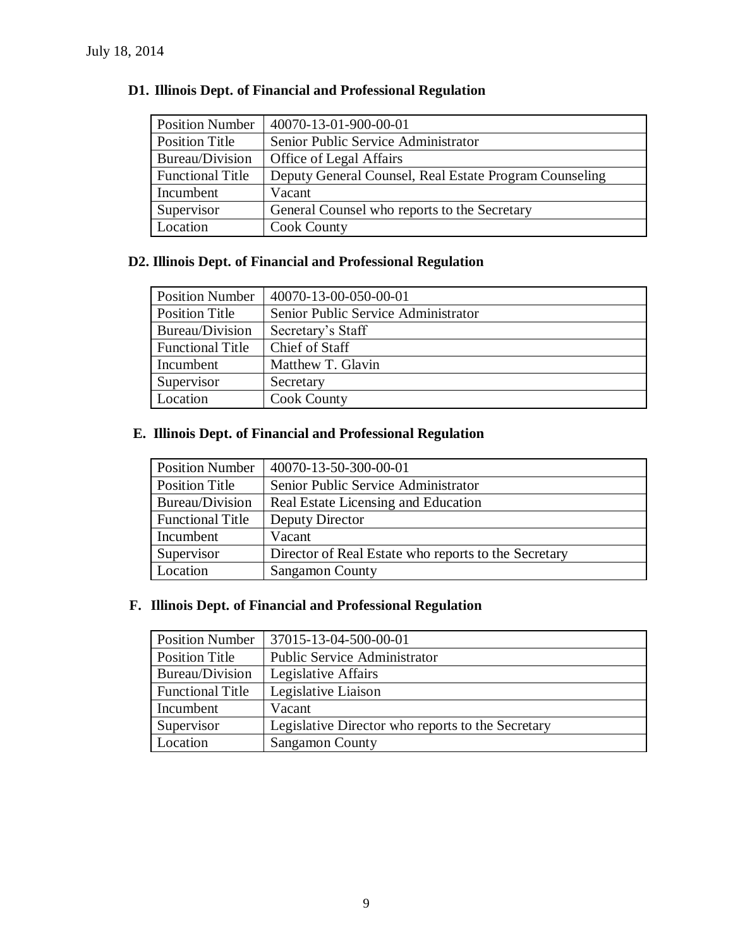| <b>Position Number</b>  | 40070-13-01-900-00-01                                  |
|-------------------------|--------------------------------------------------------|
| <b>Position Title</b>   | Senior Public Service Administrator                    |
| Bureau/Division         | Office of Legal Affairs                                |
| <b>Functional Title</b> | Deputy General Counsel, Real Estate Program Counseling |
| Incumbent               | Vacant                                                 |
| Supervisor              | General Counsel who reports to the Secretary           |
| Location                | <b>Cook County</b>                                     |

# **D1. Illinois Dept. of Financial and Professional Regulation**

# **D2. Illinois Dept. of Financial and Professional Regulation**

| <b>Position Number</b>  | 40070-13-00-050-00-01               |
|-------------------------|-------------------------------------|
| <b>Position Title</b>   | Senior Public Service Administrator |
| Bureau/Division         | Secretary's Staff                   |
| <b>Functional Title</b> | Chief of Staff                      |
| Incumbent               | Matthew T. Glavin                   |
| Supervisor              | Secretary                           |
| Location                | <b>Cook County</b>                  |

# **E. Illinois Dept. of Financial and Professional Regulation**

| <b>Position Number</b>  | 40070-13-50-300-00-01                                |
|-------------------------|------------------------------------------------------|
| <b>Position Title</b>   | Senior Public Service Administrator                  |
| Bureau/Division         | Real Estate Licensing and Education                  |
| <b>Functional Title</b> | Deputy Director                                      |
| Incumbent               | Vacant                                               |
| Supervisor              | Director of Real Estate who reports to the Secretary |
| Location                | <b>Sangamon County</b>                               |

# **F. Illinois Dept. of Financial and Professional Regulation**

| <b>Position Number</b>  | 37015-13-04-500-00-01                             |
|-------------------------|---------------------------------------------------|
| <b>Position Title</b>   | <b>Public Service Administrator</b>               |
| Bureau/Division         | Legislative Affairs                               |
| <b>Functional Title</b> | Legislative Liaison                               |
| Incumbent               | Vacant                                            |
| Supervisor              | Legislative Director who reports to the Secretary |
| Location                | <b>Sangamon County</b>                            |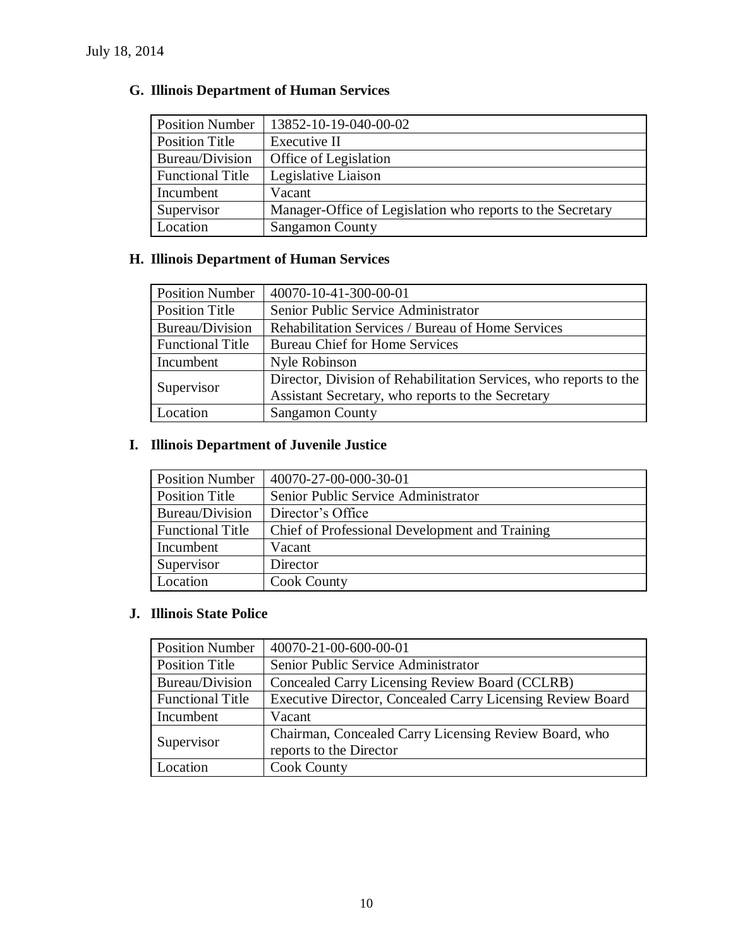| <b>Position Number</b>  | 13852-10-19-040-00-02                                      |
|-------------------------|------------------------------------------------------------|
| <b>Position Title</b>   | Executive II                                               |
| Bureau/Division         | <b>Office of Legislation</b>                               |
| <b>Functional Title</b> | Legislative Liaison                                        |
| Incumbent               | Vacant                                                     |
| Supervisor              | Manager-Office of Legislation who reports to the Secretary |
| Location                | <b>Sangamon County</b>                                     |

# **G. Illinois Department of Human Services**

# **H. Illinois Department of Human Services**

| <b>Position Number</b>  | 40070-10-41-300-00-01                                             |
|-------------------------|-------------------------------------------------------------------|
| <b>Position Title</b>   | Senior Public Service Administrator                               |
| Bureau/Division         | Rehabilitation Services / Bureau of Home Services                 |
| <b>Functional Title</b> | <b>Bureau Chief for Home Services</b>                             |
| Incumbent               | Nyle Robinson                                                     |
| Supervisor              | Director, Division of Rehabilitation Services, who reports to the |
|                         | Assistant Secretary, who reports to the Secretary                 |
| Location                | <b>Sangamon County</b>                                            |

# **I. Illinois Department of Juvenile Justice**

| <b>Position Number</b>  | 40070-27-00-000-30-01                          |
|-------------------------|------------------------------------------------|
| <b>Position Title</b>   | Senior Public Service Administrator            |
| Bureau/Division         | Director's Office                              |
| <b>Functional Title</b> | Chief of Professional Development and Training |
| Incumbent               | Vacant                                         |
| Supervisor              | Director                                       |
| Location                | <b>Cook County</b>                             |

# **J. Illinois State Police**

| <b>Position Number</b>  | 40070-21-00-600-00-01                                      |
|-------------------------|------------------------------------------------------------|
| <b>Position Title</b>   | Senior Public Service Administrator                        |
| Bureau/Division         | Concealed Carry Licensing Review Board (CCLRB)             |
| <b>Functional Title</b> | Executive Director, Concealed Carry Licensing Review Board |
| Incumbent               | Vacant                                                     |
| Supervisor              | Chairman, Concealed Carry Licensing Review Board, who      |
|                         | reports to the Director                                    |
| Location                | <b>Cook County</b>                                         |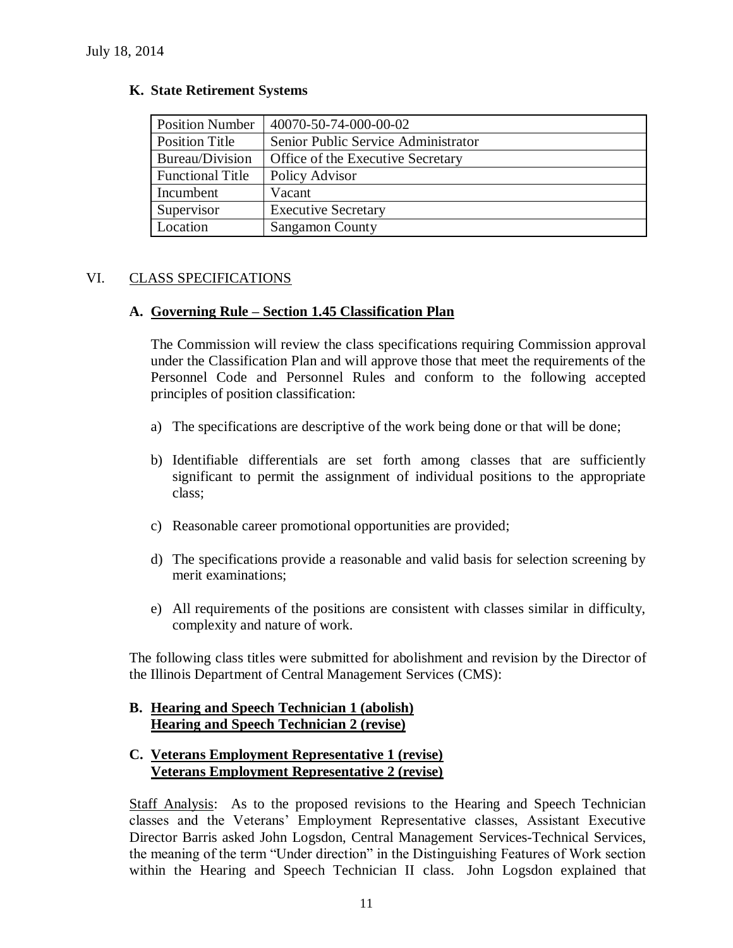| <b>Position Number</b>  | 40070-50-74-000-00-02               |
|-------------------------|-------------------------------------|
| <b>Position Title</b>   | Senior Public Service Administrator |
| Bureau/Division         | Office of the Executive Secretary   |
| <b>Functional Title</b> | Policy Advisor                      |
| Incumbent               | Vacant                              |
| Supervisor              | <b>Executive Secretary</b>          |
| Location                | <b>Sangamon County</b>              |

#### **K. State Retirement Systems**

### VI. CLASS SPECIFICATIONS

#### **A. Governing Rule – Section 1.45 Classification Plan**

The Commission will review the class specifications requiring Commission approval under the Classification Plan and will approve those that meet the requirements of the Personnel Code and Personnel Rules and conform to the following accepted principles of position classification:

- a) The specifications are descriptive of the work being done or that will be done;
- b) Identifiable differentials are set forth among classes that are sufficiently significant to permit the assignment of individual positions to the appropriate class;
- c) Reasonable career promotional opportunities are provided;
- d) The specifications provide a reasonable and valid basis for selection screening by merit examinations;
- e) All requirements of the positions are consistent with classes similar in difficulty, complexity and nature of work.

The following class titles were submitted for abolishment and revision by the Director of the Illinois Department of Central Management Services (CMS):

#### **B. Hearing and Speech Technician 1 (abolish) Hearing and Speech Technician 2 (revise)**

### **C. Veterans Employment Representative 1 (revise) Veterans Employment Representative 2 (revise)**

Staff Analysis: As to the proposed revisions to the Hearing and Speech Technician classes and the Veterans' Employment Representative classes, Assistant Executive Director Barris asked John Logsdon, Central Management Services-Technical Services, the meaning of the term "Under direction" in the Distinguishing Features of Work section within the Hearing and Speech Technician II class. John Logsdon explained that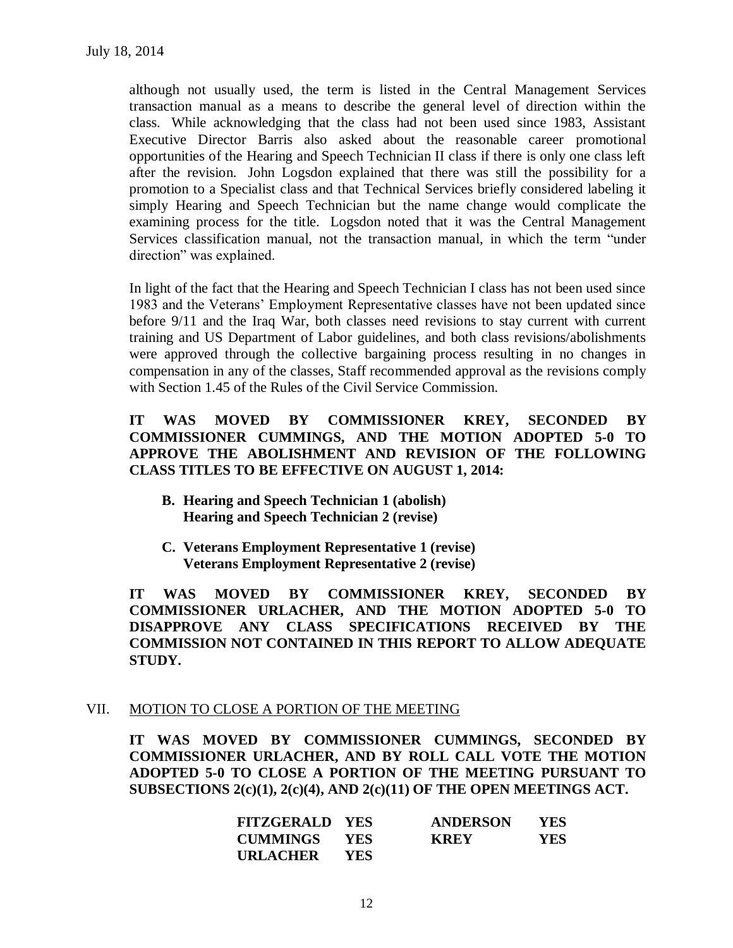although not usually used, the term is listed in the Central Management Services transaction manual as a means to describe the general level of direction within the class. While acknowledging that the class had not been used since 1983, Assistant Executive Director Barris also asked about the reasonable career promotional opportunities of the Hearing and Speech Technician II class if there is only one class left after the revision. John Logsdon explained that there was still the possibility for a promotion to a Specialist class and that Technical Services briefly considered labeling it simply Hearing and Speech Technician but the name change would complicate the examining process for the title. Logsdon noted that it was the Central Management Services classification manual, not the transaction manual, in which the term "under direction" was explained.

In light of the fact that the Hearing and Speech Technician I class has not been used since 1983 and the Veterans' Employment Representative classes have not been updated since before 9/11 and the Iraq War, both classes need revisions to stay current with current training and US Department of Labor guidelines, and both class revisions/abolishments were approved through the collective bargaining process resulting in no changes in compensation in any of the classes, Staff recommended approval as the revisions comply with Section 1.45 of the Rules of the Civil Service Commission.

# **IT WAS MOVED BY COMMISSIONER KREY, SECONDED BY COMMISSIONER CUMMINGS, AND THE MOTION ADOPTED 5-0 TO APPROVE THE ABOLISHMENT AND REVISION OF THE FOLLOWING CLASS TITLES TO BE EFFECTIVE ON AUGUST 1, 2014:**

- **B. Hearing and Speech Technician 1 (abolish) Hearing and Speech Technician 2 (revise)**
- **C. Veterans Employment Representative 1 (revise) Veterans Employment Representative 2 (revise)**

**IT WAS MOVED BY COMMISSIONER KREY, SECONDED BY COMMISSIONER URLACHER, AND THE MOTION ADOPTED 5-0 TO DISAPPROVE ANY CLASS SPECIFICATIONS RECEIVED BY THE COMMISSION NOT CONTAINED IN THIS REPORT TO ALLOW ADEQUATE STUDY.** 

### VII. MOTION TO CLOSE A PORTION OF THE MEETING

**IT WAS MOVED BY COMMISSIONER CUMMINGS, SECONDED BY COMMISSIONER URLACHER, AND BY ROLL CALL VOTE THE MOTION ADOPTED 5-0 TO CLOSE A PORTION OF THE MEETING PURSUANT TO SUBSECTIONS 2(c)(1), 2(c)(4), AND 2(c)(11) OF THE OPEN MEETINGS ACT.**

| <b>FITZGERALD YES</b> |            | <b>ANDERSON</b> | <b>YES</b> |
|-----------------------|------------|-----------------|------------|
| CUMMINGS YES          |            | <b>KREY</b>     | YES.       |
| URLACHER              | <b>YES</b> |                 |            |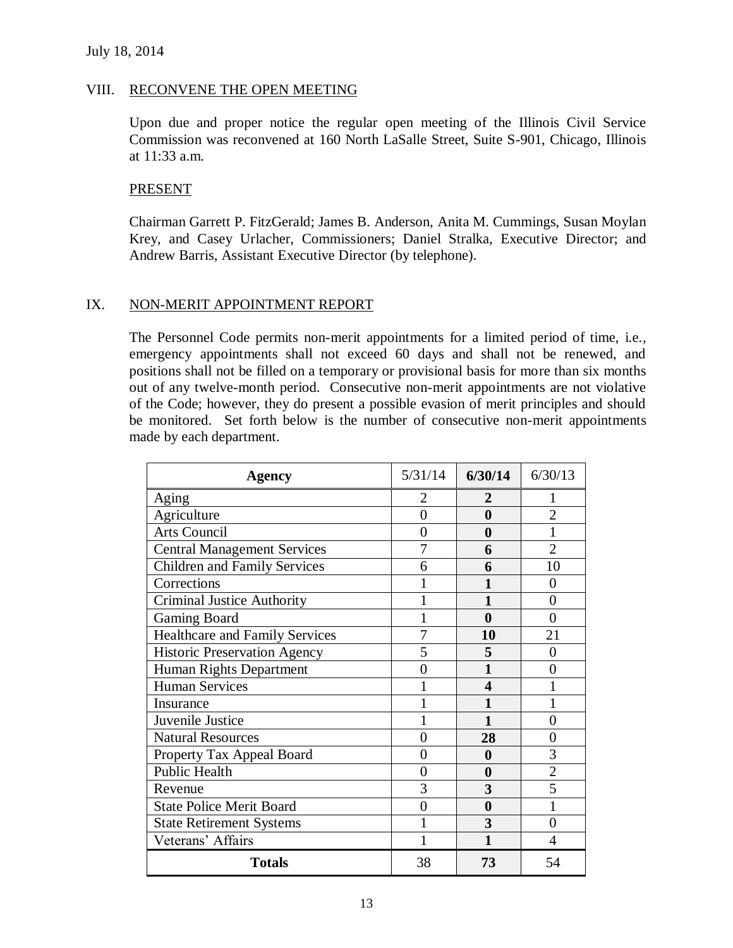### VIII. RECONVENE THE OPEN MEETING

Upon due and proper notice the regular open meeting of the Illinois Civil Service Commission was reconvened at 160 North LaSalle Street, Suite S-901, Chicago, Illinois at 11:33 a.m.

#### **PRESENT**

Chairman Garrett P. FitzGerald; James B. Anderson, Anita M. Cummings, Susan Moylan Krey, and Casey Urlacher, Commissioners; Daniel Stralka, Executive Director; and Andrew Barris, Assistant Executive Director (by telephone).

#### IX. NON-MERIT APPOINTMENT REPORT

The Personnel Code permits non-merit appointments for a limited period of time, i.e., emergency appointments shall not exceed 60 days and shall not be renewed, and positions shall not be filled on a temporary or provisional basis for more than six months out of any twelve-month period. Consecutive non-merit appointments are not violative of the Code; however, they do present a possible evasion of merit principles and should be monitored. Set forth below is the number of consecutive non-merit appointments made by each department.

| <b>Agency</b>                       | 5/31/14        | 6/30/14                 | 6/30/13                  |
|-------------------------------------|----------------|-------------------------|--------------------------|
| Aging                               | 2              | 2                       | 1                        |
| Agriculture                         | $\theta$       | $\bf{0}$                | $\overline{2}$           |
| <b>Arts Council</b>                 | 0              | $\boldsymbol{0}$        |                          |
| <b>Central Management Services</b>  |                | 6                       | $\overline{2}$           |
| <b>Children and Family Services</b> | 6              | 6                       | 10                       |
| Corrections                         |                |                         | 0                        |
| <b>Criminal Justice Authority</b>   |                |                         | $\Omega$                 |
| <b>Gaming Board</b>                 |                | $\bf{0}$                | $\Omega$                 |
| Healthcare and Family Services      |                | 10                      | 21                       |
| <b>Historic Preservation Agency</b> | 5              | 5                       | 0                        |
| Human Rights Department             | 0              | $\mathbf{1}$            | 0                        |
| <b>Human Services</b>               |                | $\overline{\mathbf{4}}$ |                          |
| Insurance                           |                |                         |                          |
| Juvenile Justice                    |                | 1                       | 0                        |
| <b>Natural Resources</b>            | $\overline{0}$ | 28                      | $\overline{0}$           |
| Property Tax Appeal Board           | $\overline{0}$ | $\boldsymbol{0}$        | 3                        |
| <b>Public Health</b>                | $\overline{0}$ | $\bf{0}$                | $\overline{2}$           |
| Revenue                             | 3              | 3                       | 5                        |
| <b>State Police Merit Board</b>     | 0              | $\boldsymbol{0}$        |                          |
| <b>State Retirement Systems</b>     |                | 3                       | $\overline{0}$           |
| Veterans' Affairs                   |                | 1                       | $\overline{\mathcal{A}}$ |
| <b>Totals</b>                       | 38             | 73                      | 54                       |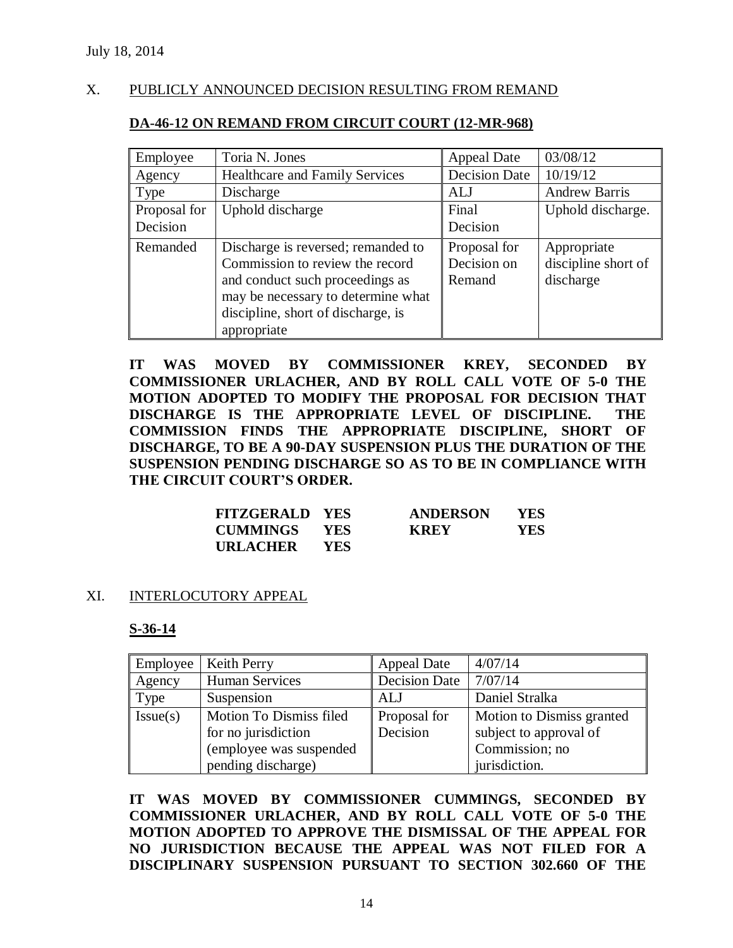# X. PUBLICLY ANNOUNCED DECISION RESULTING FROM REMAND

# **DA-46-12 ON REMAND FROM CIRCUIT COURT (12-MR-968)**

| Employee                 | Toria N. Jones                                                                                                                                                                                      | <b>Appeal Date</b>                    | 03/08/12                                        |
|--------------------------|-----------------------------------------------------------------------------------------------------------------------------------------------------------------------------------------------------|---------------------------------------|-------------------------------------------------|
| Agency                   | <b>Healthcare and Family Services</b>                                                                                                                                                               | <b>Decision Date</b>                  | 10/19/12                                        |
| Type                     | Discharge                                                                                                                                                                                           | ALJ                                   | <b>Andrew Barris</b>                            |
| Proposal for<br>Decision | Uphold discharge                                                                                                                                                                                    | Final<br>Decision                     | Uphold discharge.                               |
| Remanded                 | Discharge is reversed; remanded to<br>Commission to review the record<br>and conduct such proceedings as<br>may be necessary to determine what<br>discipline, short of discharge, is<br>appropriate | Proposal for<br>Decision on<br>Remand | Appropriate<br>discipline short of<br>discharge |

**IT WAS MOVED BY COMMISSIONER KREY, SECONDED BY COMMISSIONER URLACHER, AND BY ROLL CALL VOTE OF 5-0 THE MOTION ADOPTED TO MODIFY THE PROPOSAL FOR DECISION THAT DISCHARGE IS THE APPROPRIATE LEVEL OF DISCIPLINE. THE COMMISSION FINDS THE APPROPRIATE DISCIPLINE, SHORT OF DISCHARGE, TO BE A 90-DAY SUSPENSION PLUS THE DURATION OF THE SUSPENSION PENDING DISCHARGE SO AS TO BE IN COMPLIANCE WITH THE CIRCUIT COURT'S ORDER.**

| <b>FITZGERALD YES</b> |            | <b>ANDERSON</b> | YES  |
|-----------------------|------------|-----------------|------|
| <b>CUMMINGS</b>       | <b>YES</b> | <b>KREY</b>     | YES. |
| URLACHER              | YES.       |                 |      |

#### XI. INTERLOCUTORY APPEAL

### **S-36-14**

| Employee | Keith Perry                                                                                     | <b>Appeal Date</b>       | 4/07/14                                                                                |
|----------|-------------------------------------------------------------------------------------------------|--------------------------|----------------------------------------------------------------------------------------|
| Agency   | <b>Human Services</b>                                                                           | <b>Decision Date</b>     | 7/07/14                                                                                |
| Type     | Suspension                                                                                      | ALJ                      | Daniel Stralka                                                                         |
| Issue(s) | Motion To Dismiss filed<br>for no jurisdiction<br>(employee was suspended<br>pending discharge) | Proposal for<br>Decision | Motion to Dismiss granted<br>subject to approval of<br>Commission; no<br>jurisdiction. |

**IT WAS MOVED BY COMMISSIONER CUMMINGS, SECONDED BY COMMISSIONER URLACHER, AND BY ROLL CALL VOTE OF 5-0 THE MOTION ADOPTED TO APPROVE THE DISMISSAL OF THE APPEAL FOR NO JURISDICTION BECAUSE THE APPEAL WAS NOT FILED FOR A DISCIPLINARY SUSPENSION PURSUANT TO SECTION 302.660 OF THE**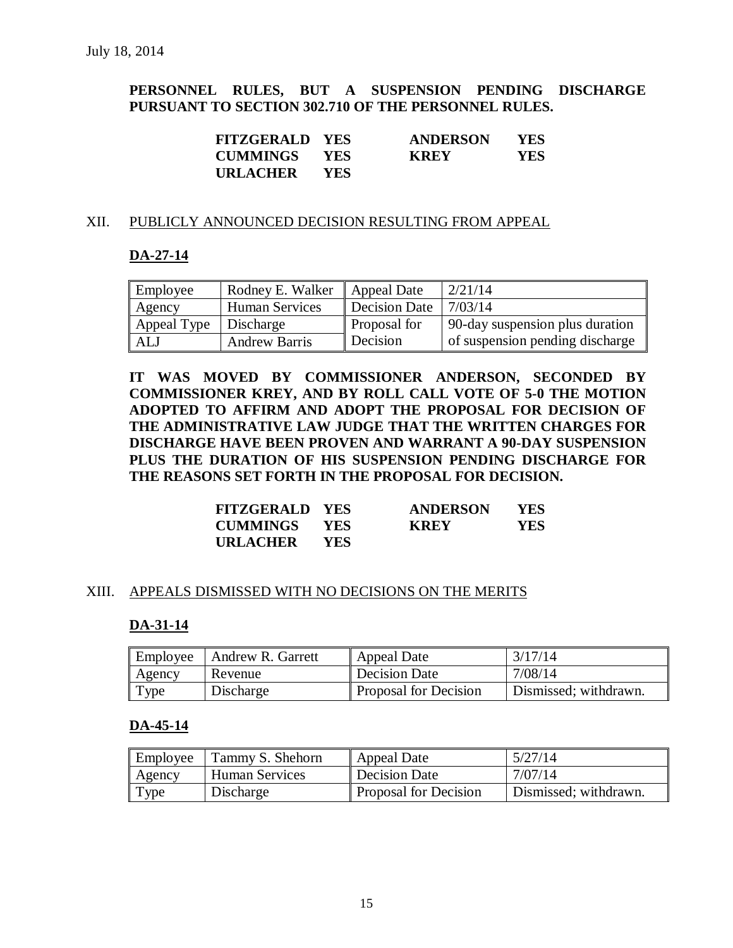# **PERSONNEL RULES, BUT A SUSPENSION PENDING DISCHARGE PURSUANT TO SECTION 302.710 OF THE PERSONNEL RULES.**

| <b>FITZGERALD YES</b> |       | <b>ANDERSON</b> | <b>YES</b> |
|-----------------------|-------|-----------------|------------|
| <b>CUMMINGS YES</b>   |       | <b>KREY</b>     | YES        |
| <b>URLACHER</b>       | - YES |                 |            |

### XII. PUBLICLY ANNOUNCED DECISION RESULTING FROM APPEAL

### **DA-27-14**

| Employee    | Rodney E. Walker   Appeal Date |                     | 2/21/14                         |
|-------------|--------------------------------|---------------------|---------------------------------|
| Agency      | <b>Human Services</b>          | Decision Date       | 7/03/14                         |
| Appeal Type | Discharge                      | <b>Proposal</b> for | 90-day suspension plus duration |
| ALJ         | <b>Andrew Barris</b>           | Decision            | of suspension pending discharge |

**IT WAS MOVED BY COMMISSIONER ANDERSON, SECONDED BY COMMISSIONER KREY, AND BY ROLL CALL VOTE OF 5-0 THE MOTION ADOPTED TO AFFIRM AND ADOPT THE PROPOSAL FOR DECISION OF THE ADMINISTRATIVE LAW JUDGE THAT THE WRITTEN CHARGES FOR DISCHARGE HAVE BEEN PROVEN AND WARRANT A 90-DAY SUSPENSION PLUS THE DURATION OF HIS SUSPENSION PENDING DISCHARGE FOR THE REASONS SET FORTH IN THE PROPOSAL FOR DECISION.**

| <b>FITZGERALD YES</b> |            | <b>ANDERSON</b> | YES. |
|-----------------------|------------|-----------------|------|
| <b>CUMMINGS</b>       | <b>YES</b> | <b>KREY</b>     | YES. |
| URLACHER              | <b>YES</b> |                 |      |

### XIII. APPEALS DISMISSED WITH NO DECISIONS ON THE MERITS

### **DA-31-14**

| Employee | Andrew R. Garrett | Appeal Date                  | 3/17/14               |
|----------|-------------------|------------------------------|-----------------------|
| Agency   | Revenue           | Decision Date                | 7/08/14               |
| Type     | Discharge         | <b>Proposal for Decision</b> | Dismissed; withdrawn. |

### **DA-45-14**

| Employee | Tammy S. Shehorn | Appeal Date           | 5/27/14               |
|----------|------------------|-----------------------|-----------------------|
| Agency   | Human Services   | Decision Date         | 7/07/14               |
| Type     | Discharge        | Proposal for Decision | Dismissed; withdrawn. |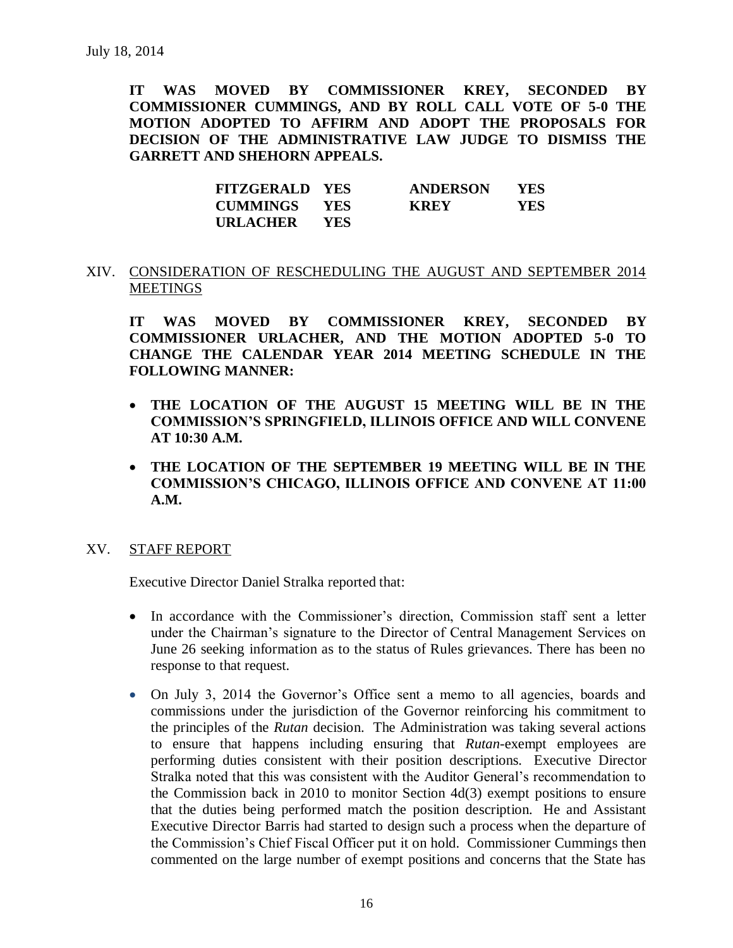**IT WAS MOVED BY COMMISSIONER KREY, SECONDED BY COMMISSIONER CUMMINGS, AND BY ROLL CALL VOTE OF 5-0 THE MOTION ADOPTED TO AFFIRM AND ADOPT THE PROPOSALS FOR DECISION OF THE ADMINISTRATIVE LAW JUDGE TO DISMISS THE GARRETT AND SHEHORN APPEALS.**

| <b>FITZGERALD YES</b> |            | <b>ANDERSON</b> | YES |
|-----------------------|------------|-----------------|-----|
| <b>CUMMINGS</b>       | <b>YES</b> | <b>KREY</b>     | YES |
| <b>URLACHER</b>       | <b>YES</b> |                 |     |

### XIV. CONSIDERATION OF RESCHEDULING THE AUGUST AND SEPTEMBER 2014 **MEETINGS**

**IT WAS MOVED BY COMMISSIONER KREY, SECONDED BY COMMISSIONER URLACHER, AND THE MOTION ADOPTED 5-0 TO CHANGE THE CALENDAR YEAR 2014 MEETING SCHEDULE IN THE FOLLOWING MANNER:**

- **THE LOCATION OF THE AUGUST 15 MEETING WILL BE IN THE COMMISSION'S SPRINGFIELD, ILLINOIS OFFICE AND WILL CONVENE AT 10:30 A.M.**
- **THE LOCATION OF THE SEPTEMBER 19 MEETING WILL BE IN THE COMMISSION'S CHICAGO, ILLINOIS OFFICE AND CONVENE AT 11:00 A.M.**

#### XV. STAFF REPORT

Executive Director Daniel Stralka reported that:

- In accordance with the Commissioner's direction, Commission staff sent a letter under the Chairman's signature to the Director of Central Management Services on June 26 seeking information as to the status of Rules grievances. There has been no response to that request.
- On July 3, 2014 the Governor's Office sent a memo to all agencies, boards and commissions under the jurisdiction of the Governor reinforcing his commitment to the principles of the *Rutan* decision. The Administration was taking several actions to ensure that happens including ensuring that *Rutan*-exempt employees are performing duties consistent with their position descriptions. Executive Director Stralka noted that this was consistent with the Auditor General's recommendation to the Commission back in 2010 to monitor Section 4d(3) exempt positions to ensure that the duties being performed match the position description. He and Assistant Executive Director Barris had started to design such a process when the departure of the Commission's Chief Fiscal Officer put it on hold. Commissioner Cummings then commented on the large number of exempt positions and concerns that the State has